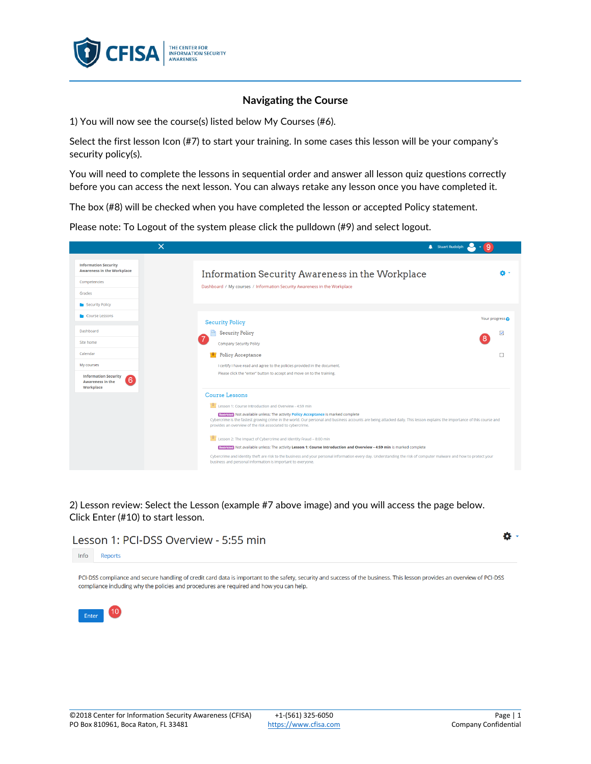

## **Navigating the Course**

1) You will now see the course(s) listed below My Courses (#6).

Select the first lesson Icon (#7) to start your training. In some cases this lesson will be your company's security policy(s).

You will need to complete the lessons in sequential order and answer all lesson quiz questions correctly before you can access the next lesson. You can always retake any lesson once you have completed it.

The box (#8) will be checked when you have completed the lesson or accepted Policy statement.

Please note: To Logout of the system please click the pulldown (#9) and select logout.



2) Lesson review: Select the Lesson (example #7 above image) and you will access the page below. Click Enter (#10) to start lesson.

## Lesson 1: PCI-DSS Overview - 5:55 min

Info Reports

PCI-DSS compliance and secure handling of credit card data is important to the safety, security and success of the business. This lesson provides an overview of PCI-DSS compliance including why the policies and procedures are required and how you can help.



ö.